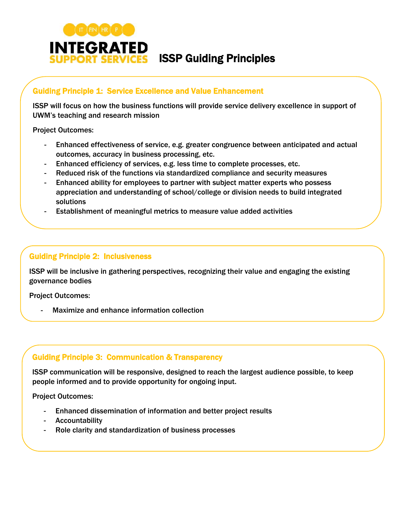

# ISSP Guiding Principles

# Guiding Principle 1: Service Excellence and Value Enhancement

ISSP will focus on how the business functions will provide service delivery excellence in support of UWM's teaching and research mission

Project Outcomes:

- Enhanced effectiveness of service, e.g. greater congruence between anticipated and actual outcomes, accuracy in business processing, etc.
- Enhanced efficiency of services, e.g. less time to complete processes, etc.
- Reduced risk of the functions via standardized compliance and security measures
- Enhanced ability for employees to partner with subject matter experts who possess appreciation and understanding of school/college or division needs to build integrated solutions
- Establishment of meaningful metrics to measure value added activities

### Guiding Principle 2: Inclusiveness

ISSP will be inclusive in gathering perspectives, recognizing their value and engaging the existing governance bodies

Project Outcomes:

Maximize and enhance information collection

## Guiding Principle 3: Communication & Transparency

ISSP communication will be responsive, designed to reach the largest audience possible, to keep people informed and to provide opportunity for ongoing input.

Project Outcomes:

- Enhanced dissemination of information and better project results
- Accountability
- Role clarity and standardization of business processes